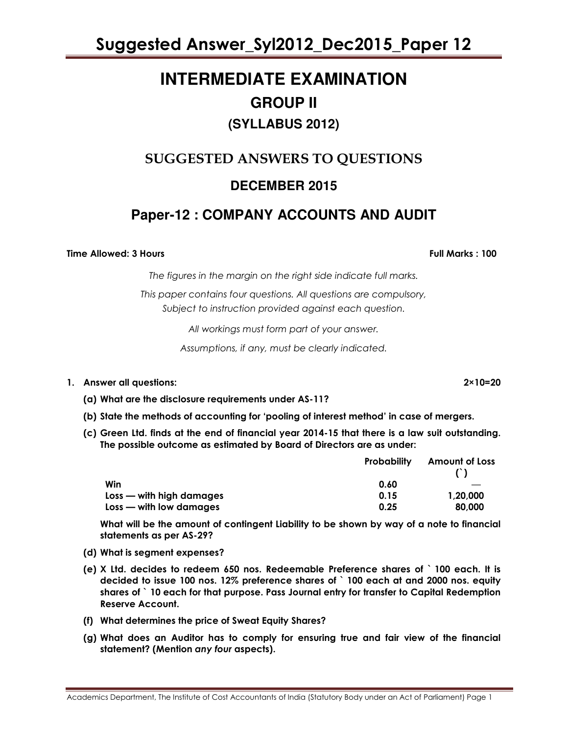# **INTERMEDIATE EXAMINATION GROUP II (SYLLABUS 2012)**

# SUGGESTED ANSWERS TO QUESTIONS **DECEMBER 2015**

# **Paper-12 : COMPANY ACCOUNTS AND AUDIT**

Time Allowed: 3 Hours Full Marks : 100

The figures in the margin on the right side indicate full marks.

This paper contains four questions. All questions are compulsory, Subject to instruction provided against each question.

All workings must form part of your answer.

Assumptions, if any, must be clearly indicated.

### 1. Answer all questions: 2×10=20

- (a) What are the disclosure requirements under AS-11?
- (b) State the methods of accounting for 'pooling of interest method' in case of mergers.
- (c) Green Ltd. finds at the end of financial year 2014-15 that there is a law suit outstanding. The possible outcome as estimated by Board of Directors are as under:

|                            | <b>Probability</b> | <b>Amount of Loss</b> |
|----------------------------|--------------------|-----------------------|
|                            |                    |                       |
| Win                        | 0.60               |                       |
| $Loss$ — with high damages | 0.15               | 1,20,000              |
| Loss - with low damages    | 0.25               | 80,000                |

What will be the amount of contingent Liability to be shown by way of a note to financial statements as per AS-29?

- (d) What is segment expenses?
- (e) X Ltd. decides to redeem 650 nos. Redeemable Preference shares of ` 100 each. It is decided to issue 100 nos. 12% preference shares of ` 100 each at and 2000 nos. equity shares of ` 10 each for that purpose. Pass Journal entry for transfer to Capital Redemption Reserve Account.
- (f) What determines the price of Sweat Equity Shares?
- (g) What does an Auditor has to comply for ensuring true and fair view of the financial statement? (Mention any four aspects).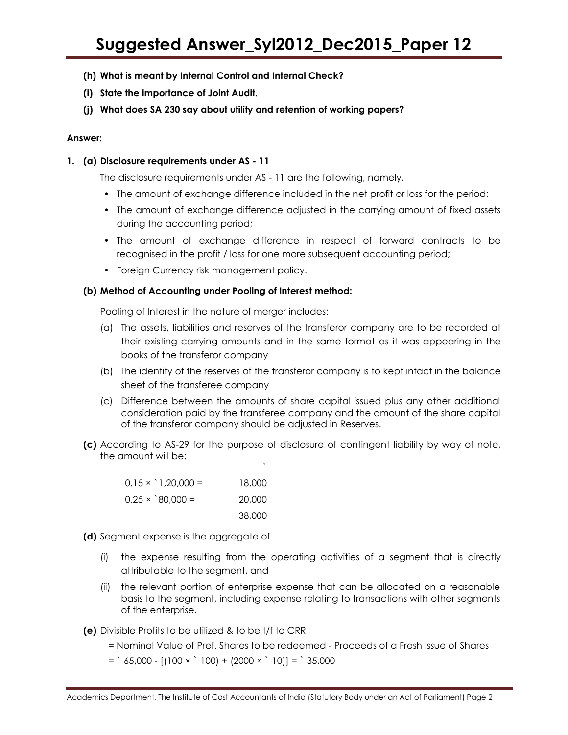- (h) What is meant by Internal Control and Internal Check?
- (i) State the importance of Joint Audit.
- (j) What does SA 230 say about utility and retention of working papers?

### Answer:

### 1. (a) Disclosure requirements under AS - 11

The disclosure requirements under AS - 11 are the following, namely,

- The amount of exchange difference included in the net profit or loss for the period;
- The amount of exchange difference adjusted in the carrying amount of fixed assets during the accounting period;
- The amount of exchange difference in respect of forward contracts to be recognised in the profit / loss for one more subsequent accounting period;
- Foreign Currency risk management policy.

### (b) Method of Accounting under Pooling of Interest method:

Pooling of Interest in the nature of merger includes:

- (a) The assets, liabilities and reserves of the transferor company are to be recorded at their existing carrying amounts and in the same format as it was appearing in the books of the transferor company
- (b) The identity of the reserves of the transferor company is to kept intact in the balance sheet of the transferee company
- (c) Difference between the amounts of share capital issued plus any other additional consideration paid by the transferee company and the amount of the share capital of the transferor company should be adjusted in Reserves.
- (c) According to AS-29 for the purpose of disclosure of contingent liability by way of note, the amount will be:

`

| $0.15 \times 1,20,000 =$ | 18,000 |
|--------------------------|--------|
| $0.25 \times$ 80,000 =   | 20,000 |
|                          | 38,000 |

(d) Segment expense is the aggregate of

- (i) the expense resulting from the operating activities of a segment that is directly attributable to the segment, and
- (ii) the relevant portion of enterprise expense that can be allocated on a reasonable basis to the segment, including expense relating to transactions with other segments of the enterprise.
- (e) Divisible Profits to be utilized & to be t/f to CRR
	- = Nominal Value of Pref. Shares to be redeemed Proceeds of a Fresh Issue of Shares
	- $=$   $65,000 [(100 \times 100) + (2000 \times 10)] =$  35,000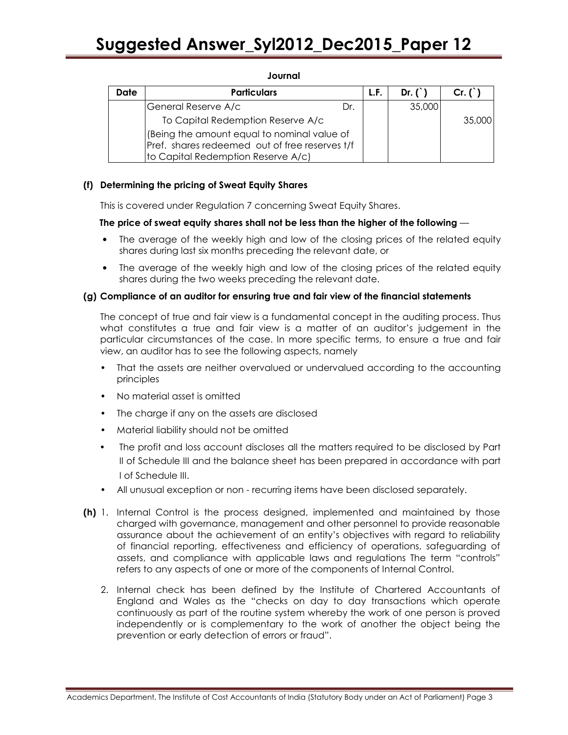| Date | <b>Particulars</b>                                                                                                                  |     | L.F. | Dr. $()$ | $Cr. (^)$ |
|------|-------------------------------------------------------------------------------------------------------------------------------------|-----|------|----------|-----------|
|      | General Reserve A/c                                                                                                                 | Dr. |      | 35,000   |           |
|      | To Capital Redemption Reserve A/c                                                                                                   |     |      |          | 35,000    |
|      | (Being the amount equal to nominal value of<br>Pref. shares redeemed out of free reserves t/f<br>to Capital Redemption Reserve A/c) |     |      |          |           |

### Journal

### (f) Determining the pricing of Sweat Equity Shares

This is covered under Regulation 7 concerning Sweat Equity Shares.

### The price of sweat equity shares shall not be less than the higher of the following —

- The average of the weekly high and low of the closing prices of the related equity shares during last six months preceding the relevant date, or
- The average of the weekly high and low of the closing prices of the related equity shares during the two weeks preceding the relevant date.

### (g) Compliance of an auditor for ensuring true and fair view of the financial statements

The concept of true and fair view is a fundamental concept in the auditing process. Thus what constitutes a true and fair view is a matter of an auditor's judgement in the particular circumstances of the case. In more specific terms, to ensure a true and fair view, an auditor has to see the following aspects, namely

- That the assets are neither overvalued or undervalued according to the accounting principles
- No material asset is omitted
- The charge if any on the assets are disclosed
- Material liability should not be omitted
- The profit and loss account discloses all the matters required to be disclosed by Part II of Schedule III and the balance sheet has been prepared in accordance with part I of Schedule III.
- All unusual exception or non recurring items have been disclosed separately.
- (h) 1. Internal Control is the process designed, implemented and maintained by those charged with governance, management and other personnel to provide reasonable assurance about the achievement of an entity's objectives with regard to reliability of financial reporting, effectiveness and efficiency of operations, safeguarding of assets, and compliance with applicable laws and regulations The term "controls" refers to any aspects of one or more of the components of Internal Control.
	- 2. Internal check has been defined by the Institute of Chartered Accountants of England and Wales as the "checks on day to day transactions which operate continuously as part of the routine system whereby the work of one person is proved independently or is complementary to the work of another the object being the prevention or early detection of errors or fraud".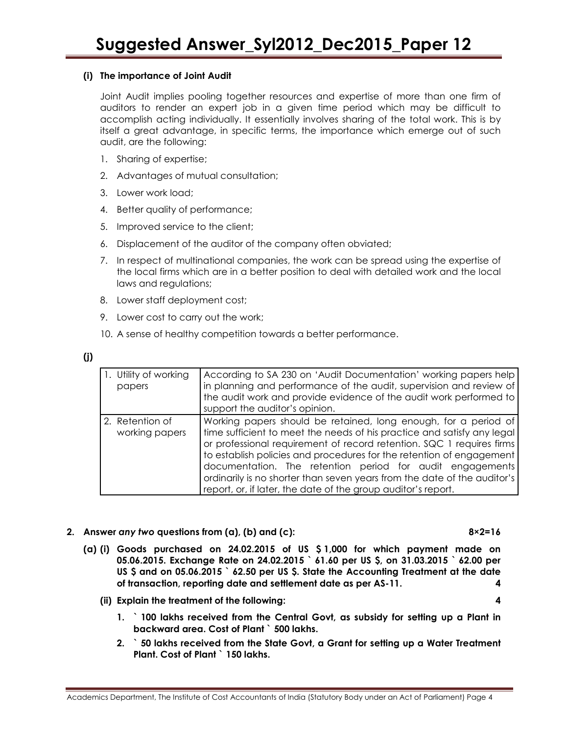### (i) The importance of Joint Audit

Joint Audit implies pooling together resources and expertise of more than one firm of auditors to render an expert job in a given time period which may be difficult to accomplish acting individually. It essentially involves sharing of the total work. This is by itself a great advantage, in specific terms, the importance which emerge out of such audit, are the following:

- 1. Sharing of expertise;
- 2. Advantages of mutual consultation;
- 3. Lower work load;
- 4. Better quality of performance;
- 5. Improved service to the client;
- 6. Displacement of the auditor of the company often obviated;
- 7. In respect of multinational companies, the work can be spread using the expertise of the local firms which are in a better position to deal with detailed work and the local laws and regulations;
- 8. Lower staff deployment cost;
- 9. Lower cost to carry out the work;
- 10. A sense of healthy competition towards a better performance.

| 1. Utility of working<br>papers   | According to SA 230 on 'Audit Documentation' working papers help<br>in planning and performance of the audit, supervision and review of<br>the audit work and provide evidence of the audit work performed to<br>support the auditor's opinion.                                                                                                                                                                                                                                                       |
|-----------------------------------|-------------------------------------------------------------------------------------------------------------------------------------------------------------------------------------------------------------------------------------------------------------------------------------------------------------------------------------------------------------------------------------------------------------------------------------------------------------------------------------------------------|
| 2. Retention of<br>working papers | Working papers should be retained, long enough, for a period of<br>time sufficient to meet the needs of his practice and satisfy any legal<br>or professional requirement of record retention. SQC 1 requires firms<br>to establish policies and procedures for the retention of engagement<br>documentation. The retention period for audit engagements<br>ordinarily is no shorter than seven years from the date of the auditor's<br>report, or, if later, the date of the group auditor's report. |

2. Answer any two questions from (a), (b) and (c): 8×2=16

- (a) (i) Goods purchased on 24.02.2015 of US \$ 1,000 for which payment made on 05.06.2015. Exchange Rate on 24.02.2015 ` 61.60 per US \$, on 31.03.2015 ` 62.00 per US \$ and on 05.06.2015 `62.50 per US \$. State the Accounting Treatment at the date of transaction, reporting date and settlement date as per AS-11. 4
	- (ii) Explain the treatment of the following: 4
		- 1. ` 100 lakhs received from the Central Govt, as subsidy for setting up a Plant in backward area. Cost of Plant ` 500 lakhs.
		- 2. ` 50 lakhs received from the State Govt, a Grant for setting up a Water Treatment Plant. Cost of Plant ` 150 lakhs.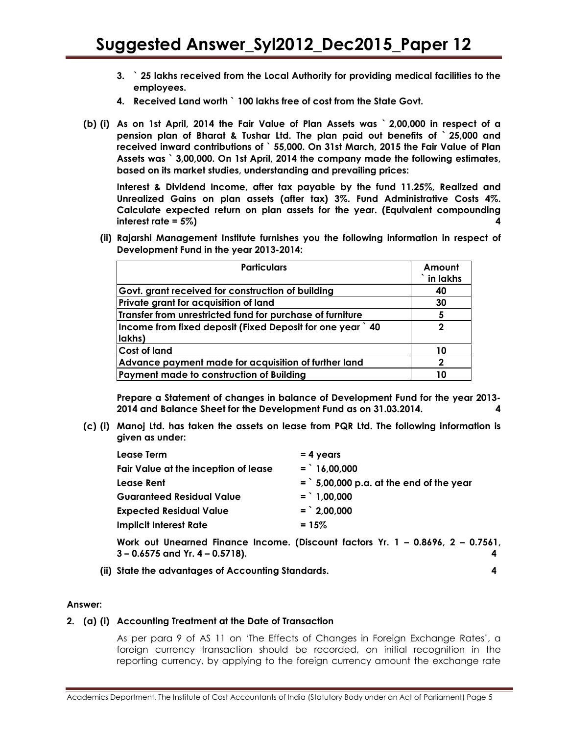- 3. ` 25 lakhs received from the Local Authority for providing medical facilities to the employees.
- 4. Received Land worth ` 100 lakhs free of cost from the State Govt.
- (b) (i) As on 1st April, 2014 the Fair Value of Plan Assets was ` 2,00,000 in respect of a pension plan of Bharat & Tushar Ltd. The plan paid out benefits of ` 25,000 and received inward contributions of ` 55,000. On 31st March, 2015 the Fair Value of Plan Assets was ` 3,00,000. On 1st April, 2014 the company made the following estimates, based on its market studies, understanding and prevailing prices:

Interest & Dividend Income, after tax payable by the fund 11.25%, Realized and Unrealized Gains on plan assets (after tax) 3%. Fund Administrative Costs 4%. Calculate expected return on plan assets for the year. (Equivalent compounding interest rate = 5%) 4

(ii) Rajarshi Management Institute furnishes you the following information in respect of Development Fund in the year 2013-2014:

| <b>Particulars</b>                                                   | Amount<br>in lakhs |
|----------------------------------------------------------------------|--------------------|
| Govt. grant received for construction of building                    | 40                 |
| Private grant for acquisition of land                                | 30                 |
| Transfer from unrestricted fund for purchase of furniture            | 5                  |
| Income from fixed deposit (Fixed Deposit for one year ) 40<br>lakhs) | 2                  |
| <b>Cost of land</b>                                                  | 10                 |
| Advance payment made for acquisition of further land                 | $\mathbf 2$        |
| Payment made to construction of Building                             | 10                 |

 Prepare a Statement of changes in balance of Development Fund for the year 2013- 2014 and Balance Sheet for the Development Fund as on 31.03.2014. 4

(c) (i) Manoj Ltd. has taken the assets on lease from PQR Ltd. The following information is given as under:

| Lease Term                                                                                   | $= 4$ years                              |
|----------------------------------------------------------------------------------------------|------------------------------------------|
| Fair Value at the inception of lease                                                         | $=$ 16,00,000                            |
| Lease Rent                                                                                   | $=$ 5,00,000 p.a. at the end of the year |
| Guaranteed Residual Value                                                                    | $=$ 1,00,000                             |
| <b>Expected Residual Value</b>                                                               | $=$ 2,00,000                             |
| <b>Implicit Interest Rate</b>                                                                | $= 15\%$                                 |
| $M_{\alpha}$ , $\alpha$ is the expect $\alpha$ increase income (Discount frotox V, 1 00/0/ 0 |                                          |

Work out Unearned Finance Income. (Discount factors Yr. 1 – 0.8696, 2 – 0.7561, 3 – 0.6575 and Yr. 4 – 0.5718). 4

(ii) State the advantages of Accounting Standards. 4

#### Answer:

### 2. (a) (i) Accounting Treatment at the Date of Transaction

As per para 9 of AS 11 on 'The Effects of Changes in Foreign Exchange Rates', a foreign currency transaction should be recorded, on initial recognition in the reporting currency, by applying to the foreign currency amount the exchange rate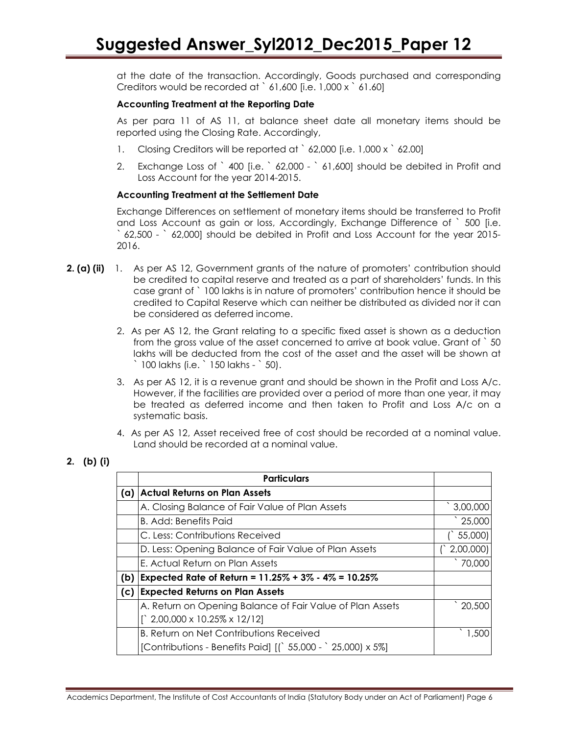at the date of the transaction. Accordingly, Goods purchased and corresponding Creditors would be recorded at ` 61,600 [i.e. 1,000 x ` 61.60]

### Accounting Treatment at the Reporting Date

As per para 11 of AS 11, at balance sheet date all monetary items should be reported using the Closing Rate. Accordingly,

- 1. Closing Creditors will be reported at `62,000 [i.e. 1,000 x `62,00]
- 2. Exchange Loss of ` 400 [i.e. ` 62,000 ` 61,600] should be debited in Profit and Loss Account for the year 2014-2015.

### Accounting Treatment at the Settlement Date

Exchange Differences on settlement of monetary items should be transferred to Profit and Loss Account as gain or loss, Accordingly, Exchange Difference of ` 500 [i.e. ` 62,500 - ` 62,000] should be debited in Profit and Loss Account for the year 2015- 2016.

- 2. (a) (ii) 1. As per AS 12, Government grants of the nature of promoters' contribution should be credited to capital reserve and treated as a part of shareholders' funds. In this case grant of ` 100 lakhs is in nature of promoters' contribution hence it should be credited to Capital Reserve which can neither be distributed as divided nor it can be considered as deferred income.
	- 2. As per AS 12, the Grant relating to a specific fixed asset is shown as a deduction from the gross value of the asset concerned to arrive at book value. Grant of ` 50 lakhs will be deducted from the cost of the asset and the asset will be shown at ` 100 lakhs (i.e. ` 150 lakhs - ` 50).
	- 3. As per AS 12, it is a revenue grant and should be shown in the Profit and Loss A/c. However, if the facilities are provided over a period of more than one year, it may be treated as deferred income and then taken to Profit and Loss A/c on a systematic basis.
	- 4. As per AS 12, Asset received free of cost should be recorded at a nominal value. Land should be recorded at a nominal value.

|     | <b>Particulars</b>                                         |                     |
|-----|------------------------------------------------------------|---------------------|
| (a) | <b>Actual Returns on Plan Assets</b>                       |                     |
|     | A. Closing Balance of Fair Value of Plan Assets            | 3,00,000            |
|     | <b>B. Add: Benefits Paid</b>                               | $^{\degree}$ 25,000 |
|     | C. Less: Contributions Received                            | 55,000)             |
|     | D. Less: Opening Balance of Fair Value of Plan Assets      | 2,00,000)           |
|     | E. Actual Return on Plan Assets                            | 70,000              |
| (b) | Expected Rate of Return = $11.25\% + 3\% - 4\% = 10.25\%$  |                     |
| (c) | <b>Expected Returns on Plan Assets</b>                     |                     |
|     | A. Return on Opening Balance of Fair Value of Plan Assets  | 20,500              |
|     | $\int$ 2,00,000 x 10.25% x 12/12]                          |                     |
|     | <b>B. Return on Net Contributions Received</b>             | 1,500               |
|     | [Contributions - Benefits Paid] [(`55,000 - `25,000) x 5%] |                     |

### 2. (b) (i)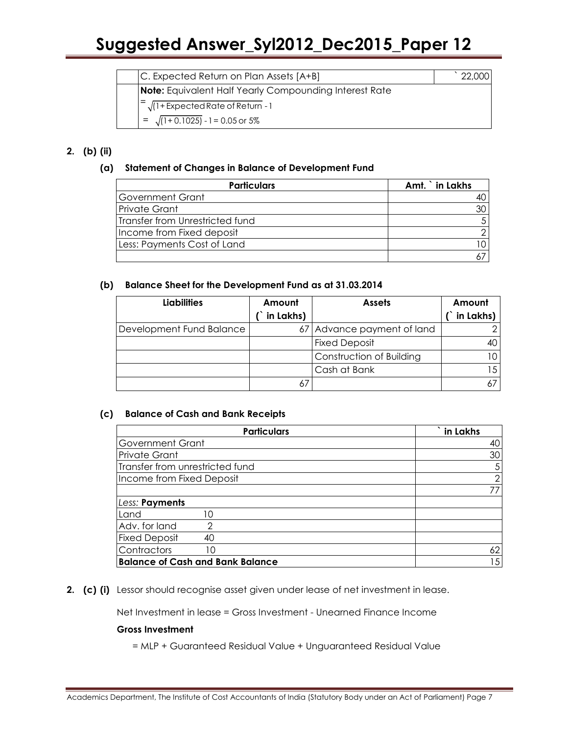| C. Expected Return on Plan Assets [A+B]                       |  |
|---------------------------------------------------------------|--|
| <b>Note:</b> Equivalent Half Yearly Compounding Interest Rate |  |
| $=\sqrt{(1+Expected Rate of Return - 1)}$                     |  |
| $= \sqrt{(1+0.1025)} - 1 = 0.05$ or 5%                        |  |

# 2. (b) (ii)

## (a) Statement of Changes in Balance of Development Fund

| <b>Particulars</b>              | Amt. in Lakhs |
|---------------------------------|---------------|
| <b>Government Grant</b>         |               |
| <b>Private Grant</b>            |               |
| Transfer from Unrestricted fund |               |
| Income from Fixed deposit       |               |
| Less: Payments Cost of Land     |               |
|                                 |               |

### (b) Balance Sheet for the Development Fund as at 31.03.2014

| <b>Liabilities</b>       | Amount    | <b>Assets</b>              | Amount    |
|--------------------------|-----------|----------------------------|-----------|
|                          | in Lakhs) |                            | in Lakhs) |
| Development Fund Balance |           | 67 Advance payment of land |           |
|                          |           | <b>Fixed Deposit</b>       |           |
|                          |           | Construction of Building   |           |
|                          |           | Cash at Bank               |           |
|                          | 67        |                            |           |

### (c) Balance of Cash and Bank Receipts

| <b>Particulars</b>                      | in Lakhs       |
|-----------------------------------------|----------------|
| <b>Government Grant</b>                 | 40             |
| <b>Private Grant</b>                    | 30             |
| Transfer from unrestricted fund         | 5              |
| Income from Fixed Deposit               | $\overline{2}$ |
|                                         | 77             |
| Less: Payments                          |                |
| Land<br>10                              |                |
| Adv. for land<br>◠                      |                |
| <b>Fixed Deposit</b><br>40              |                |
| Contractors<br>10                       | 62             |
| <b>Balance of Cash and Bank Balance</b> | 15             |

2. (c) (i) Lessor should recognise asset given under lease of net investment in lease.

Net Investment in lease = Gross Investment - Unearned Finance Income

### Gross Investment

= MLP + Guaranteed Residual Value + Unguaranteed Residual Value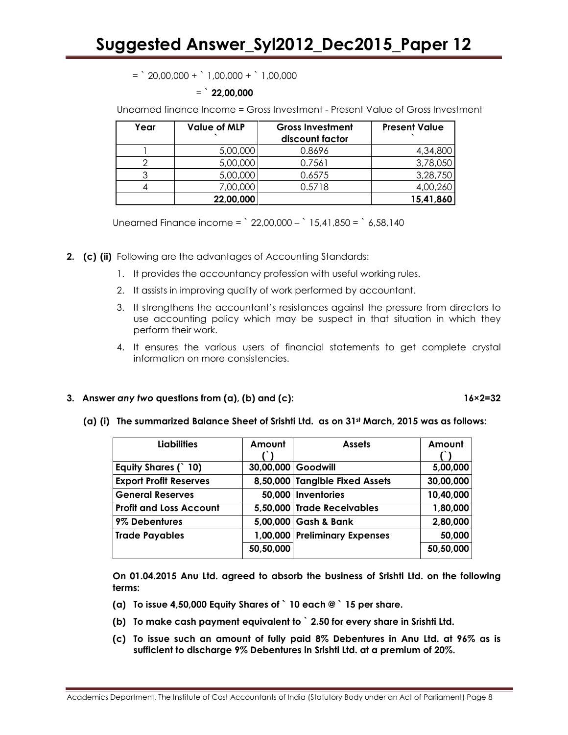$=$   $20,00,000 +$   $1,00,000 +$   $1,00,000$ 

### $=$  22,00,000

Unearned finance Income = Gross Investment - Present Value of Gross Investment

| Year | <b>Value of MLP</b> | <b>Gross Investment</b><br>discount factor | <b>Present Value</b> |
|------|---------------------|--------------------------------------------|----------------------|
|      | 5,00,000            | 0.8696                                     | 4,34,800             |
|      | 5,00,000            | 0.7561                                     | 3,78,050             |
|      | 5,00,000            | 0.6575                                     | 3,28,750             |
|      | 7,00,000            | 0.5718                                     | 4,00,260             |
|      | 22,00,000           |                                            | 15,41,860            |

Unearned Finance income =  $22,00,000 - 15,41,850 = 6,58,140$ 

- 2. (c) (ii) Following are the advantages of Accounting Standards:
	- 1. It provides the accountancy profession with useful working rules.
	- 2. It assists in improving quality of work performed by accountant.
	- 3. It strengthens the accountant's resistances against the pressure from directors to use accounting policy which may be suspect in that situation in which they perform their work.
	- 4. It ensures the various users of financial statements to get complete crystal information on more consistencies.

### 3. Answer any two questions from  $(a)$ ,  $(b)$  and  $(c)$ : 16×2=32

### (a) (i) The summarized Balance Sheet of Srishti Ltd. as on  $31st$  March, 2015 was as follows:

| <b>Liabilities</b>             | Amount             | <b>Assets</b>                  | Amount    |
|--------------------------------|--------------------|--------------------------------|-----------|
|                                |                    |                                |           |
| Equity Shares (`10)            | 30,00,000 Goodwill |                                | 5,00,000  |
| <b>Export Profit Reserves</b>  |                    | 8,50,000 Tangible Fixed Assets | 30,00,000 |
| <b>General Reserves</b>        |                    | 50,000   Inventories           | 10,40,000 |
| <b>Profit and Loss Account</b> |                    | 5,50,000 Trade Receivables     | 1,80,000  |
| 9% Debentures                  |                    | 5,00,000 Gash & Bank           | 2,80,000  |
| <b>Trade Payables</b>          |                    | 1,00,000 Preliminary Expenses  | 50,000    |
|                                | 50,50,000          |                                | 50,50,000 |

On 01.04.2015 Anu Ltd. agreed to absorb the business of Srishti Ltd. on the following terms:

- (a) To issue 4,50,000 Equity Shares of  $\degree$  10 each  $@$   $\degree$  15 per share.
- (b) To make cash payment equivalent to ` 2.50 for every share in Srishti Ltd.
- (c) To issue such an amount of fully paid 8% Debentures in Anu Ltd. at 96% as is sufficient to discharge 9% Debentures in Srishti Ltd. at a premium of 20%.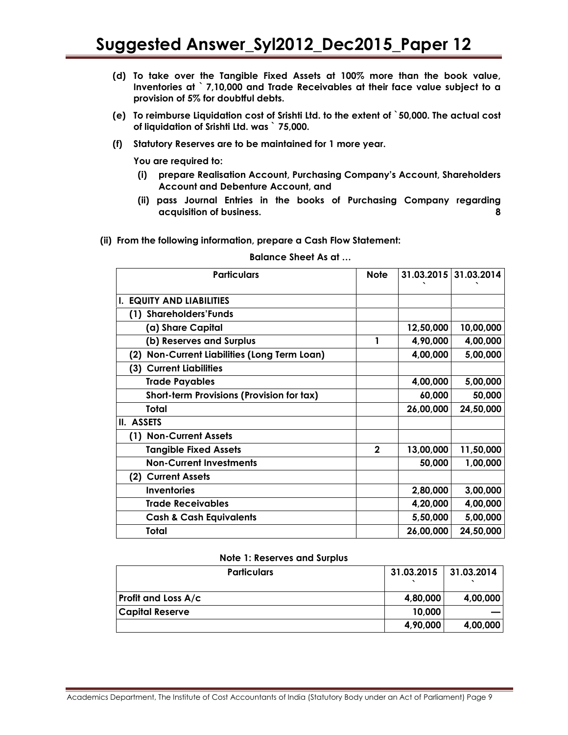- (d) To take over the Tangible Fixed Assets at 100% more than the book value, Inventories at ` 7,10,000 and Trade Receivables at their face value subject to a provision of 5% for doubtful debts.
- (e) To reimburse Liquidation cost of Srishti Ltd. to the extent of `50,000. The actual cost of liquidation of Srishti Ltd. was ` 75,000.
- (f) Statutory Reserves are to be maintained for 1 more year.

You are required to:

- (i) prepare Realisation Account, Purchasing Company's Account, Shareholders Account and Debenture Account, and
- (ii) pass Journal Entries in the books of Purchasing Company regarding acquisition of business. 8
- (ii) From the following information, prepare a Cash Flow Statement:

| <b>Particulars</b>                                     | <b>Note</b>  | 31.03.2015 31.03.2014 |           |
|--------------------------------------------------------|--------------|-----------------------|-----------|
| <b>I. EQUITY AND LIABILITIES</b>                       |              |                       |           |
|                                                        |              |                       |           |
| (1) Shareholders'Funds                                 |              |                       |           |
| (a) Share Capital                                      |              | 12,50,000             | 10,00,000 |
| (b) Reserves and Surplus                               | 1            | 4,90,000              | 4,00,000  |
| <b>Non-Current Liabilities (Long Term Loan)</b><br>(2) |              | 4,00,000              | 5,00,000  |
| (3) Current Liabilities                                |              |                       |           |
| <b>Trade Payables</b>                                  |              | 4,00,000              | 5,00,000  |
| Short-term Provisions (Provision for tax)              |              | 60,000                | 50,000    |
| Total                                                  |              | 26,00,000             | 24,50,000 |
| II. ASSETS                                             |              |                       |           |
| (1) Non-Current Assets                                 |              |                       |           |
| <b>Tangible Fixed Assets</b>                           | $\mathbf{2}$ | 13,00,000             | 11,50,000 |
| <b>Non-Current Investments</b>                         |              | 50,000                | 1,00,000  |
| (2) Current Assets                                     |              |                       |           |
| <b>Inventories</b>                                     |              | 2,80,000              | 3,00,000  |
| <b>Trade Receivables</b>                               |              | 4,20,000              | 4,00,000  |
| <b>Cash &amp; Cash Equivalents</b>                     |              | 5,50,000              | 5,00,000  |
| Total                                                  |              | 26,00,000             | 24,50,000 |

### Balance Sheet As at …

#### Note 1: Reserves and Surplus

| <b>Particulars</b>         | 31.03.2015 | 31.03.2014 |
|----------------------------|------------|------------|
| <b>Profit and Loss A/c</b> | 4,80,000   | 4,00,000   |
| <b>Capital Reserve</b>     | 10,000     |            |
|                            | 4,90,000   | 4,00,000   |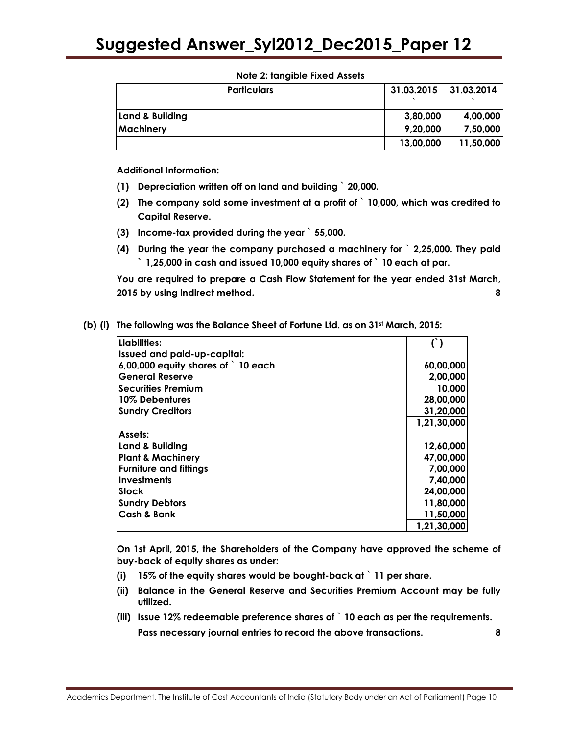| <b>Particulars</b> | 31.03.2015 | 31.03.2014 |
|--------------------|------------|------------|
| Land & Building    | 3,80,000   | 4,00,000   |
| <b>Machinery</b>   | 9,20,000   | 7,50,000   |
|                    | 13,00,000  | 11,50,000  |

### Note 2: tangible Fixed Assets

Additional Information:

- (1) Depreciation written off on land and building ` 20,000.
- (2) The company sold some investment at a profit of ` 10,000, which was credited to Capital Reserve.
- (3) Income-tax provided during the year ` 55,000.
- (4) During the year the company purchased a machinery for ` 2,25,000. They paid ` 1,25,000 in cash and issued 10,000 equity shares of ` 10 each at par.

You are required to prepare a Cash Flow Statement for the year ended 31st March, 2015 by using indirect method. 8

| Liabilities:                      |             |
|-----------------------------------|-------------|
| Issued and paid-up-capital:       |             |
| 6,00,000 equity shares of 10 each | 60,00,000   |
| <b>General Reserve</b>            | 2,00,000    |
| <b>Securities Premium</b>         | 10,000      |
| 10% Debentures                    | 28,00,000   |
| <b>Sundry Creditors</b>           | 31,20,000   |
|                                   | 1,21,30,000 |
| Assets:                           |             |
| Land & Building                   | 12,60,000   |
| <b>Plant &amp; Machinery</b>      | 47,00,000   |
| <b>Furniture and fittings</b>     | 7,00,000    |
| Investments                       | 7,40,000    |
| <b>Stock</b>                      | 24,00,000   |
| <b>Sundry Debtors</b>             | 11,80,000   |
| <b>Cash &amp; Bank</b>            | 11,50,000   |
|                                   | 1,21,30,000 |

(b) (i) The following was the Balance Sheet of Fortune Ltd. as on  $31<sup>st</sup>$  March, 2015:

On 1st April, 2015, the Shareholders of the Company have approved the scheme of buy-back of equity shares as under:

- (i)  $15\%$  of the equity shares would be bought-back at  $\degree$  11 per share.
- (ii) Balance in the General Reserve and Securities Premium Account may be fully utilized.
- (iii) Issue 12% redeemable preference shares of ` 10 each as per the requirements. Pass necessary journal entries to record the above transactions. 8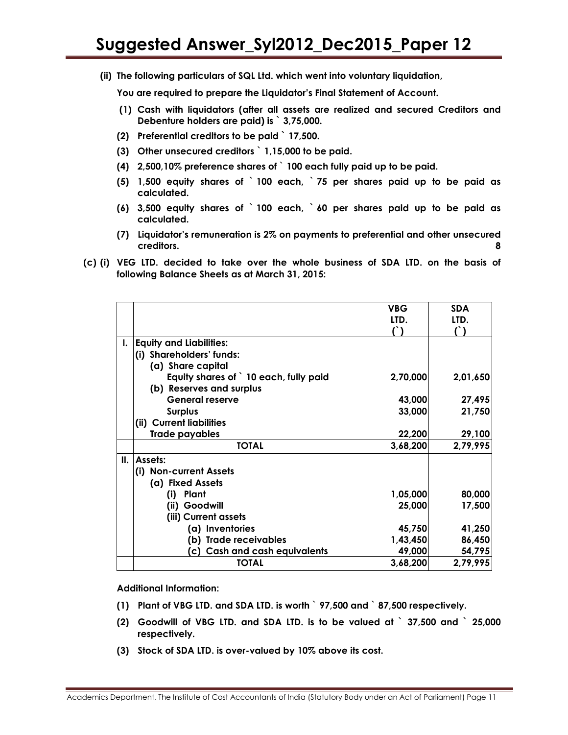(ii) The following particulars of SQL Ltd. which went into voluntary liquidation,

You are required to prepare the Liquidator's Final Statement of Account.

- (1) Cash with liquidators (after all assets are realized and secured Creditors and Debenture holders are paid) is ` 3,75,000.
- (2) Preferential creditors to be paid ` 17,500.
- (3) Other unsecured creditors ` 1,15,000 to be paid.
- (4) 2,500,10% preference shares of ` 100 each fully paid up to be paid.
- (5) 1,500 equity shares of ` 100 each, ` 75 per shares paid up to be paid as calculated.
- (6) 3,500 equity shares of ` 100 each, ` 60 per shares paid up to be paid as calculated.
- (7) Liquidator's remuneration is 2% on payments to preferential and other unsecured creditors. 8
- (c) (i) VEG LTD. decided to take over the whole business of SDA LTD. on the basis of following Balance Sheets as at March 31, 2015:

|    |                                        | <b>VBG</b> | <b>SDA</b>    |
|----|----------------------------------------|------------|---------------|
|    |                                        | LTD.       | LTD.          |
|    |                                        |            | $\mathcal{L}$ |
| L. | <b>Equity and Liabilities:</b>         |            |               |
|    | (i) Shareholders' funds:               |            |               |
|    | (a) Share capital                      |            |               |
|    | Equity shares of ` 10 each, fully paid | 2,70,000   | 2,01,650      |
|    | (b) Reserves and surplus               |            |               |
|    | <b>General reserve</b>                 | 43,000     | 27,495        |
|    | <b>Surplus</b>                         | 33,000     | 21,750        |
|    | (ii) Current liabilities               |            |               |
|    | Trade payables                         | 22,200     | 29,100        |
|    | <b>TOTAL</b>                           | 3,68,200   | 2,79,995      |
| Ш. | Assets:                                |            |               |
|    | (i) Non-current Assets                 |            |               |
|    | (a) Fixed Assets                       |            |               |
|    | Plant<br>(i)                           | 1,05,000   | 80,000        |
|    | (ii) Goodwill                          | 25,000     | 17,500        |
|    | (iii) Current assets                   |            |               |
|    | (a) Inventories                        | 45,750     | 41,250        |
|    | (b) Trade receivables                  | 1,43,450   | 86,450        |
|    | (c) Cash and cash equivalents          | 49,000     | 54,795        |
|    | <b>TOTAL</b>                           | 3,68,200   | 2,79,995      |

Additional Information:

- (1) Plant of VBG LTD. and SDA LTD. is worth ` 97,500 and ` 87,500 respectively.
- (2) Goodwill of VBG LTD. and SDA LTD. is to be valued at ` 37,500 and ` 25,000 respectively.
- (3) Stock of SDA LTD. is over-valued by 10% above its cost.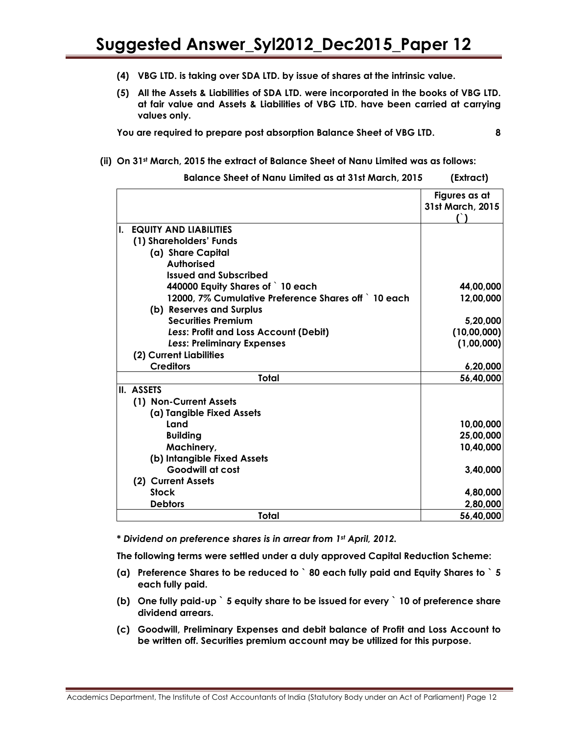- (4) VBG LTD. is taking over SDA LTD. by issue of shares at the intrinsic value.
- (5) All the Assets & Liabilities of SDA LTD. were incorporated in the books of VBG LTD. at fair value and Assets & Liabilities of VBG LTD. have been carried at carrying values only.

You are required to prepare post absorption Balance Sheet of VBG LTD. 8

### (ii) On 31st March, 2015 the extract of Balance Sheet of Nanu Limited was as follows:

Balance Sheet of Nanu Limited as at 31st March, 2015 (Extract)

|                                                      | Figures as at    |
|------------------------------------------------------|------------------|
|                                                      | 31st March, 2015 |
|                                                      |                  |
| I. EQUITY AND LIABILITIES                            |                  |
| (1) Shareholders' Funds                              |                  |
| (a) Share Capital                                    |                  |
| <b>Authorised</b>                                    |                  |
| <b>Issued and Subscribed</b>                         |                  |
| 440000 Equity Shares of `10 each                     | 44,00,000        |
| 12000, 7% Cumulative Preference Shares off ` 10 each | 12,00,000        |
| (b) Reserves and Surplus                             |                  |
| <b>Securities Premium</b>                            | 5,20,000         |
| <b>Less: Profit and Loss Account (Debit)</b>         | (10,00,000)      |
| <b>Less: Preliminary Expenses</b>                    | (1,00,000)       |
| (2) Current Liabilities                              |                  |
| <b>Creditors</b>                                     | 6,20,000         |
| Total                                                | 56,40,000        |
| II. ASSETS                                           |                  |
| (1) Non-Current Assets                               |                  |
| (a) Tangible Fixed Assets                            |                  |
| Land                                                 | 10,00,000        |
| <b>Building</b>                                      | 25,00,000        |
| Machinery,                                           | 10,40,000        |
| (b) Intangible Fixed Assets                          |                  |
| <b>Goodwill at cost</b>                              | 3,40,000         |
| (2) Current Assets                                   |                  |
| <b>Stock</b>                                         | 4,80,000         |
| <b>Debtors</b>                                       | 2,80,000         |
| Total                                                | 56,40,000        |

\* Dividend on preference shares is in arrear from 1st April, 2012.

The following terms were settled under a duly approved Capital Reduction Scheme:

- (a) Preference Shares to be reduced to ` 80 each fully paid and Equity Shares to ` 5 each fully paid.
- (b) One fully paid-up ` 5 equity share to be issued for every ` 10 of preference share dividend arrears.
- (c) Goodwill, Preliminary Expenses and debit balance of Profit and Loss Account to be written off. Securities premium account may be utilized for this purpose.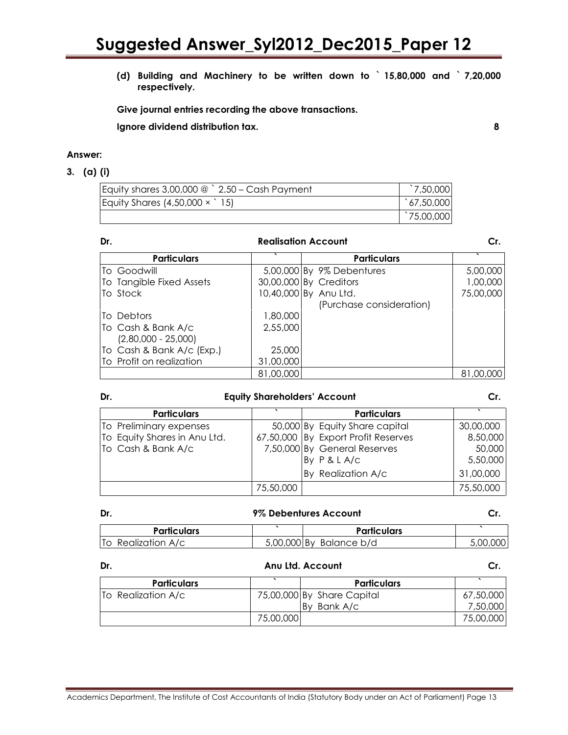(d) Building and Machinery to be written down to ` 15,80,000 and ` 7,20,000 respectively.

Give journal entries recording the above transactions.

Ignore dividend distribution tax. 8

### Answer:

### 3. (a) (i)

| Equity shares $3,00,000 \odot$ 2.50 - Cash Payment | 7,50,000               |
|----------------------------------------------------|------------------------|
| Equity Shares $(4,50,000 \times 15)$               | $\binom{67}{,}50,000$  |
|                                                    | <sup>1</sup> 75,00,000 |

| Dr.                       |           | <b>Realisation Account</b> | Cr.       |
|---------------------------|-----------|----------------------------|-----------|
| <b>Particulars</b>        | $\cdot$   | <b>Particulars</b>         | $\cdot$   |
| To Goodwill               |           | 5,00,000 By 9% Debentures  | 5,00,000  |
| To Tangible Fixed Assets  |           | 30,00,000 By Creditors     | 1,00,000  |
| To Stock                  |           | 10,40,000 By Anu Ltd.      | 75,00,000 |
|                           |           | (Purchase consideration)   |           |
| <b>To Debtors</b>         | 1,80,000  |                            |           |
| To Cash & Bank A/c        | 2,55,000  |                            |           |
| $(2,80,000 - 25,000)$     |           |                            |           |
| To Cash & Bank A/c (Exp.) | 25,000    |                            |           |
| To Profit on realization  | 31,00,000 |                            |           |
|                           | 81,00,000 |                            | 81,00,000 |

| Dr. | <b>Equity Shareholders' Account</b> |           |                                     | Cr.       |
|-----|-------------------------------------|-----------|-------------------------------------|-----------|
|     | <b>Particulars</b>                  |           | <b>Particulars</b>                  |           |
|     | To Preliminary expenses             |           | 50,000 By Equity Share capital      | 30,00,000 |
|     | To Equity Shares in Anu Ltd.        |           | 67,50,000 By Export Profit Reserves | 8,50,000  |
|     | To Cash & Bank A/c                  |           | 7,50,000 By General Reserves        | 50,000    |
|     |                                     |           | By P & L A/c                        | 5,50,000  |
|     |                                     |           | By Realization A/c                  | 31,00,000 |
|     |                                     | 75,50,000 |                                     | 75,50,000 |

| Dr. |                     | 9% Debentures Account     |          |
|-----|---------------------|---------------------------|----------|
|     | Particulars         | Particulars               |          |
|     | ITo Realization A/c | $5,00,000$ By Balance b/d | 5,00,000 |

| Dr.                |           | Anu Ltd. Account           |           |
|--------------------|-----------|----------------------------|-----------|
| <b>Particulars</b> |           | <b>Particulars</b>         |           |
| To Realization A/c |           | 75,00,000 By Share Capital | 67,50,000 |
|                    |           | By Bank A/c                | 7,50,000  |
|                    | 75,00,000 |                            | 75,00,000 |

Academics Department, The Institute of Cost Accountants of India (Statutory Body under an Act of Parliament) Page 13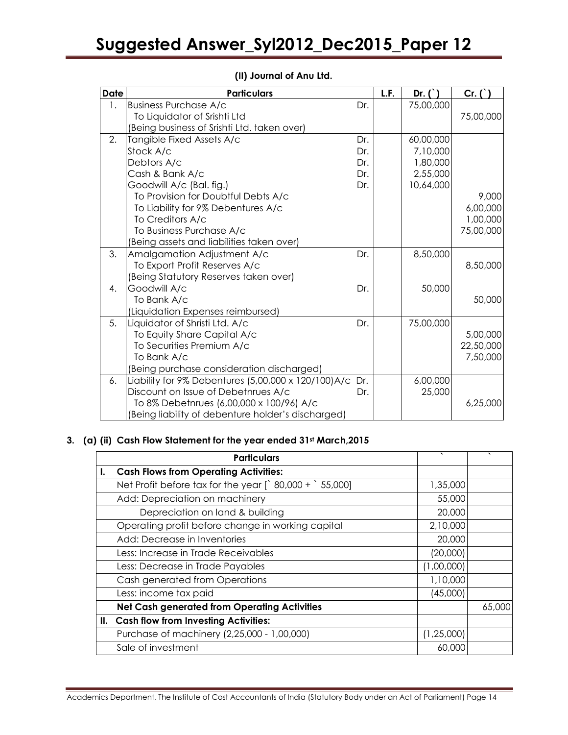| <b>Date</b>      | <b>Particulars</b>                                       |     | L.F. | Dr. $($ ) | Cr. ( )   |
|------------------|----------------------------------------------------------|-----|------|-----------|-----------|
| $\overline{1}$ . | <b>Business Purchase A/c</b>                             | Dr. |      | 75,00,000 |           |
|                  | To Liquidator of Srishti Ltd                             |     |      |           | 75,00,000 |
|                  | (Being business of Srishti Ltd. taken over)              |     |      |           |           |
| 2.               | Tangible Fixed Assets A/c                                | Dr. |      | 60,00,000 |           |
|                  | Stock A/c                                                | Dr. |      | 7,10,000  |           |
|                  | Debtors A/c                                              | Dr. |      | 1,80,000  |           |
|                  | Cash & Bank A/c                                          | Dr. |      | 2,55,000  |           |
|                  | Goodwill A/c (Bal. fig.)                                 | Dr. |      | 10,64,000 |           |
|                  | To Provision for Doubtful Debts A/c                      |     |      |           | 9,000     |
|                  | To Liability for 9% Debentures A/c                       |     |      |           | 6,00,000  |
|                  | To Creditors A/c                                         |     |      |           | 1,00,000  |
|                  | To Business Purchase A/c                                 |     |      |           | 75,00,000 |
|                  | (Being assets and liabilities taken over)                |     |      |           |           |
| 3.               | Amalgamation Adjustment A/c                              | Dr. |      | 8,50,000  |           |
|                  | To Export Profit Reserves A/c                            |     |      |           | 8,50,000  |
|                  | (Being Statutory Reserves taken over)                    |     |      |           |           |
| 4.               | Goodwill A/c                                             | Dr. |      | 50,000    |           |
|                  | To Bank A/c                                              |     |      |           | 50,000    |
|                  | (Liquidation Expenses reimbursed)                        |     |      |           |           |
| 5.               | Liquidator of Shristi Ltd. A/c                           | Dr. |      | 75,00,000 |           |
|                  | To Equity Share Capital A/c                              |     |      |           | 5,00,000  |
|                  | To Securities Premium A/c                                |     |      |           | 22,50,000 |
|                  | To Bank A/c                                              |     |      |           | 7,50,000  |
|                  | (Being purchase consideration discharged)                |     |      |           |           |
| 6.               | Liability for 9% Debentures (5,00,000 x 120/100) A/c Dr. |     |      | 6,00,000  |           |
|                  | Discount on Issue of Debetnrues A/c                      | Dr. |      | 25,000    |           |
|                  | To 8% Debetnrues (6,00,000 x 100/96) A/c                 |     |      |           | 6,25,000  |
|                  | (Being liability of debenture holder's discharged)       |     |      |           |           |

# (II) Journal of Anu Ltd.

# 3. (a) (ii) Cash Flow Statement for the year ended 31st March, 2015

| <b>Particulars</b>                                                | $\cdot$      | $\cdot$ |
|-------------------------------------------------------------------|--------------|---------|
| <b>Cash Flows from Operating Activities:</b>                      |              |         |
| Net Profit before tax for the year $\int$ 80,000 + $\int$ 55,000] | 1,35,000     |         |
| Add: Depreciation on machinery                                    | 55,000       |         |
| Depreciation on land & building                                   | 20,000       |         |
| Operating profit before change in working capital                 | 2,10,000     |         |
| Add: Decrease in Inventories                                      | 20,000       |         |
| Less: Increase in Trade Receivables                               | (20,000)     |         |
| Less: Decrease in Trade Payables                                  | (1,00,000)   |         |
| Cash generated from Operations                                    | 1,10,000     |         |
| Less: income tax paid                                             | (45,000)     |         |
| <b>Net Cash generated from Operating Activities</b>               |              | 65,000  |
| II. Cash flow from Investing Activities:                          |              |         |
| Purchase of machinery (2,25,000 - 1,00,000)                       | (1, 25, 000) |         |
| Sale of investment                                                | 60,000       |         |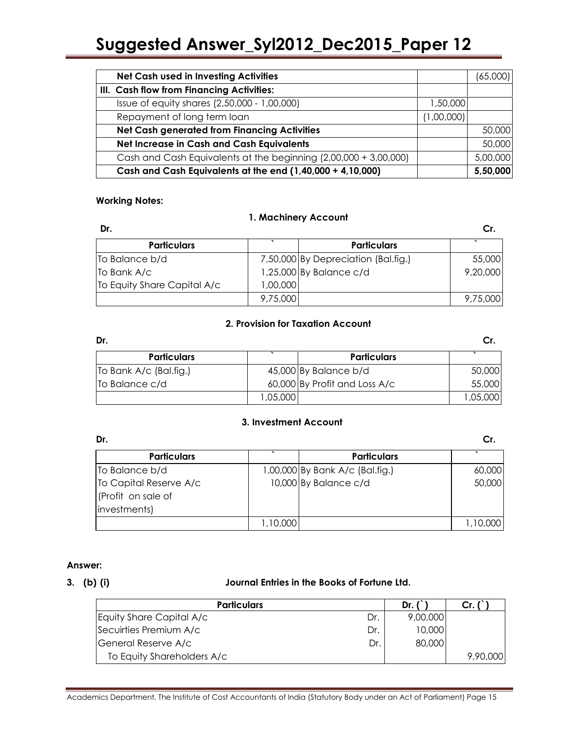| <b>Net Cash used in Investing Activities</b>                     |            | (65,000) |
|------------------------------------------------------------------|------------|----------|
| III. Cash flow from Financing Activities:                        |            |          |
| Issue of equity shares (2,50,000 - 1,00,000)                     | 1,50,000   |          |
| Repayment of long term loan                                      | (1,00,000) |          |
| <b>Net Cash generated from Financing Activities</b>              |            | 50,000   |
| Net Increase in Cash and Cash Equivalents                        |            | 50,000   |
| Cash and Cash Equivalents at the beginning (2,00,000 + 3,00,000) |            | 5,00,000 |
| Cash and Cash Equivalents at the end (1,40,000 + 4,10,000)       |            | 5,50,000 |

### Working Notes:

### 1. Machinery Account

| Dr.                         |          |                                     | Cr.      |
|-----------------------------|----------|-------------------------------------|----------|
| <b>Particulars</b>          |          | <b>Particulars</b>                  |          |
| To Balance b/d              |          | 7,50,000 By Depreciation (Bal.fig.) | 55,000   |
| To Bank A/c                 |          | 1,25,000 By Balance c/d             | 9,20,000 |
| To Equity Share Capital A/c | 1,00,000 |                                     |          |
|                             | 9,75,000 |                                     | 9,75,000 |

### 2. Provision for Taxation Account

| Dr.                    |          |                               | Cr       |
|------------------------|----------|-------------------------------|----------|
| <b>Particulars</b>     |          | <b>Particulars</b>            |          |
| To Bank A/c (Bal.fig.) |          | 45,000 By Balance b/d         | 50,000   |
| To Balance c/d         |          | 60,000 By Profit and Loss A/c | 55,000   |
|                        | 1,05,000 |                               | 1,05,000 |

### 3. Investment Account

| Dr.                    |         |                                 | Cr.      |
|------------------------|---------|---------------------------------|----------|
| <b>Particulars</b>     |         | <b>Particulars</b>              |          |
| To Balance b/d         |         | 1,00,000 By Bank A/c (Bal.fig.) | 60,000   |
| To Capital Reserve A/c |         | 10,000 By Balance c/d           | 50,000   |
| (Profit on sale of     |         |                                 |          |
| investments)           |         |                                 |          |
|                        | 10,000, |                                 | 1,10,000 |

### Answer:

### 3. (b) (i) Journal Entries in the Books of Fortune Ltd.

| <b>Particulars</b>              | Dr.      | Cr.      |
|---------------------------------|----------|----------|
| Equity Share Capital A/c<br>Dr. | 9,00,000 |          |
| Secuirties Premium A/c<br>Dr.   | 10,000   |          |
| General Reserve A/c<br>Dr       | 80,000   |          |
| To Equity Shareholders A/c      |          | 9,90,000 |

Academics Department, The Institute of Cost Accountants of India (Statutory Body under an Act of Parliament) Page 15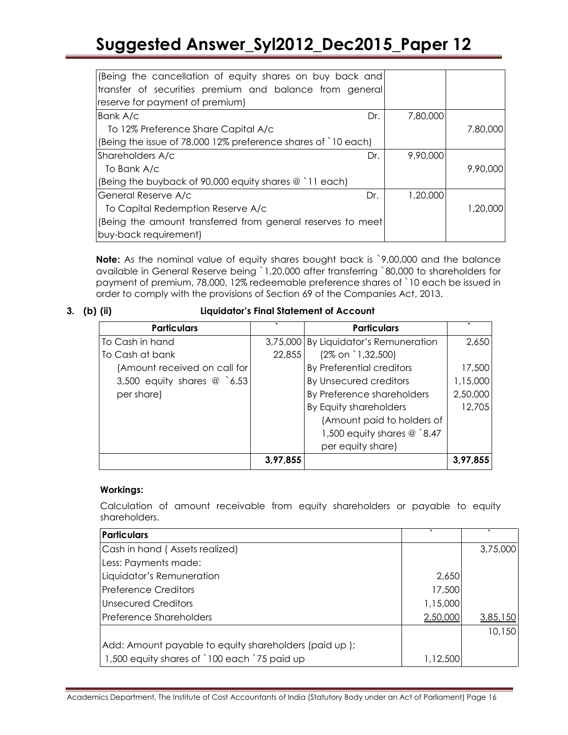| (Being the cancellation of equity shares on buy back and      |          |          |
|---------------------------------------------------------------|----------|----------|
| transfer of securities premium and balance from general       |          |          |
| reserve for payment of premium)                               |          |          |
| Bank A/c<br>Dr.                                               | 7,80,000 |          |
| To 12% Preference Share Capital A/c                           |          | 7,80,000 |
| (Being the issue of 78,000 12% preference shares of `10 each) |          |          |
| Shareholders A/c<br>Dr.                                       | 9,90,000 |          |
| To Bank A/c                                                   |          | 9,90,000 |
| (Being the buyback of 90,000 equity shares @ `11 each)        |          |          |
| General Reserve A/c<br>Dr.                                    | 1,20,000 |          |
| To Capital Redemption Reserve A/c                             |          | 1,20,000 |
| (Being the amount transferred from general reserves to meet   |          |          |
| buy-back requirement)                                         |          |          |

Note: As the nominal value of equity shares bought back is `9,00,000 and the balance available in General Reserve being `1,20,000 after transferring `80,000 to shareholders for payment of premium, 78,000, 12% redeemable preference shares of `10 each be issued in order to comply with the provisions of Section 69 of the Companies Act, 2013.

3. (b) (ii) Liquidator's Final Statement of Account

| <b>Particulars</b>           |          | <b>Particulars</b>                    |          |
|------------------------------|----------|---------------------------------------|----------|
| To Cash in hand              |          | 3,75,000 By Liquidator's Remuneration | 2,650    |
| To Cash at bank              | 22,855   | $(2\% \text{ on } 1,32,500)$          |          |
| (Amount received on call for |          | By Preferential creditors             | 17,500   |
| 3,500 equity shares $@$ 6.53 |          | By Unsecured creditors                | 1,15,000 |
| per share)                   |          | By Preference shareholders            | 2,50,000 |
|                              |          | By Equity shareholders                | 12,705   |
|                              |          | (Amount paid to holders of            |          |
|                              |          | 1,500 equity shares $@$ 8.47          |          |
|                              |          | per equity share)                     |          |
|                              | 3,97,855 |                                       | 3,97,855 |

### Workings:

Calculation of amount receivable from equity shareholders or payable to equity shareholders.

| <b>Particulars</b>                                    |          |          |
|-------------------------------------------------------|----------|----------|
| Cash in hand (Assets realized)                        |          | 3,75,000 |
| Less: Payments made:                                  |          |          |
| Liquidator's Remuneration                             | 2,650    |          |
| l Preference Creditors                                | 17,500   |          |
| <b>Unsecured Creditors</b>                            | 1,15,000 |          |
| <b>Preference Shareholders</b>                        | 2,50,000 | 3,85,150 |
|                                                       |          | 10,150   |
| Add: Amount payable to equity shareholders (paid up); |          |          |
| 1,500 equity shares of `100 each `75 paid up          | 1,12,500 |          |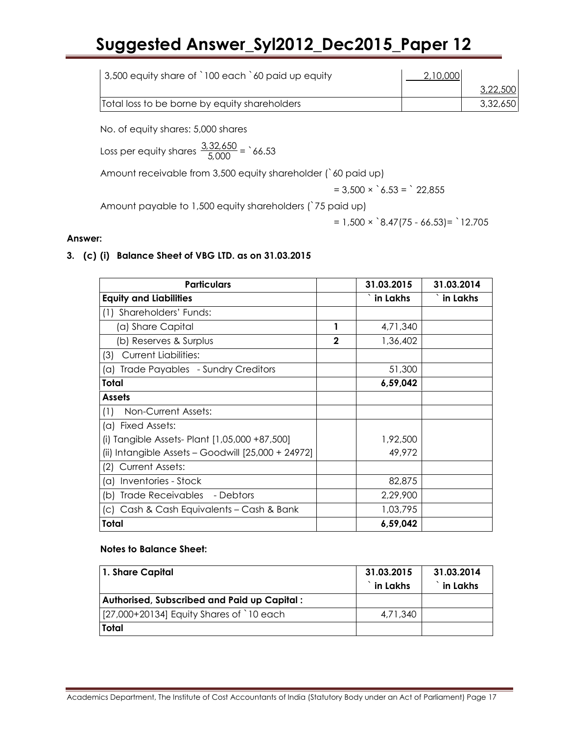| 3,500 equity share of `100 each `60 paid up equity | 2,10,000 |          |
|----------------------------------------------------|----------|----------|
|                                                    |          | 3,22,500 |
| Total loss to be borne by equity shareholders      |          | 3,32,650 |

No. of equity shares: 5,000 shares

Loss per equity shares  $\frac{3,32,650}{5,000}$  = `66.53

Amount receivable from 3,500 equity shareholder (`60 paid up)

 $= 3,500 \times \, \degree \, 6.53 = \, \degree \, 22,855$ 

Amount payable to 1,500 equity shareholders (`75 paid up)

 $= 1,500 \times \text{ } 8.47(75 - 66.53) = \text{ } 12.705$ 

### Answer:

3. (c) (i) Balance Sheet of VBG LTD. as on 31.03.2015

| <b>Particulars</b>                                   |              | 31.03.2015 | 31.03.2014 |
|------------------------------------------------------|--------------|------------|------------|
| <b>Equity and Liabilities</b>                        |              | in Lakhs   | in Lakhs   |
| Shareholders' Funds:<br>(1)                          |              |            |            |
| (a) Share Capital                                    | 1            | 4,71,340   |            |
| (b) Reserves & Surplus                               | $\mathbf{2}$ | 1,36,402   |            |
| <b>Current Liabilities:</b><br>(3)                   |              |            |            |
| Trade Payables - Sundry Creditors<br>(a)             |              | 51,300     |            |
| Total                                                |              | 6,59,042   |            |
| <b>Assets</b>                                        |              |            |            |
| Non-Current Assets:<br>(1)                           |              |            |            |
| (a) Fixed Assets:                                    |              |            |            |
| (i) Tangible Assets- Plant [1,05,000 +87,500]        |              | 1,92,500   |            |
| (ii) Intangible Assets - Goodwill $[25,000 + 24972]$ |              | 49,972     |            |
| Current Assets:<br>(2)                               |              |            |            |
| (a) Inventories - Stock                              |              | 82,875     |            |
| Trade Receivables - Debtors<br>(b)                   |              | 2,29,900   |            |
| (c) Cash & Cash Equivalents – Cash & Bank            |              | 1,03,795   |            |
| Total                                                |              | 6,59,042   |            |

### Notes to Balance Sheet:

| 1. Share Capital                            | 31.03.2015<br>$\hat{}$ in Lakhs | 31.03.2014<br>in Lakhs |
|---------------------------------------------|---------------------------------|------------------------|
| Authorised, Subscribed and Paid up Capital: |                                 |                        |
| [27,000+20134] Equity Shares of `10 each    | 4.71.340                        |                        |
| Total                                       |                                 |                        |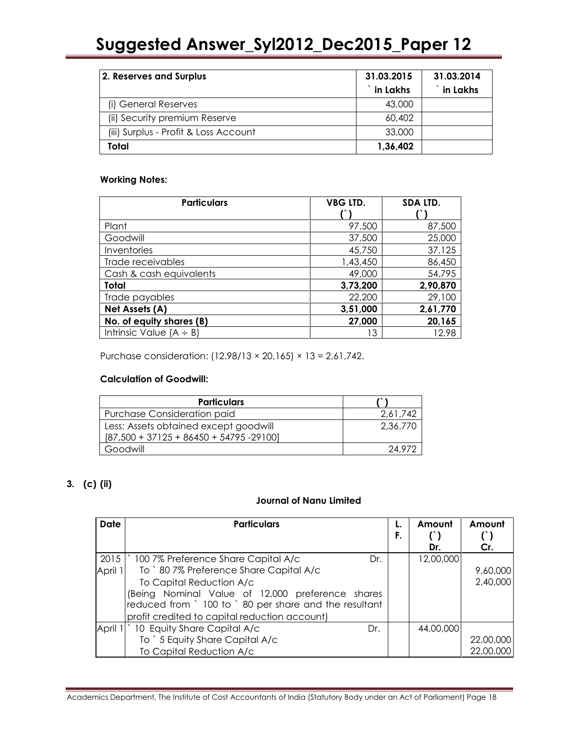| 2. Reserves and Surplus               | 31.03.2015<br><b>in Lakhs</b> | 31.03.2014<br>in Lakhs |
|---------------------------------------|-------------------------------|------------------------|
| (i) General Reserves                  | 43,000                        |                        |
| (ii) Security premium Reserve         | 60,402                        |                        |
| (iii) Surplus - Profit & Loss Account | 33,000                        |                        |
| Total                                 | 1,36,402                      |                        |

### Working Notes:

| <b>Particulars</b>           | <b>VBG LTD.</b> | SDA LTD. |
|------------------------------|-----------------|----------|
|                              |                 |          |
| Plant                        | 97,500          | 87,500   |
| Goodwill                     | 37,500          | 25,000   |
| Inventories                  | 45,750          | 37,125   |
| Trade receivables            | 1,43,450        | 86,450   |
| Cash & cash equivalents      | 49,000          | 54,795   |
| Total                        | 3,73,200        | 2,90,870 |
| Trade payables               | 22,200          | 29,100   |
| Net Assets (A)               | 3,51,000        | 2,61,770 |
| No. of equity shares (B)     | 27,000          | 20,165   |
| Intrinsic Value $(A \div B)$ | 13              | 12.98    |

Purchase consideration: (12.98/13 × 20,165) × 13 = 2,61,742.

### Calculation of Goodwill:

| <b>Particulars</b>                         |          |
|--------------------------------------------|----------|
| <b>Purchase Consideration paid</b>         | 2,61,742 |
| Less: Assets obtained except goodwill      | 2,36,770 |
| $[87,500 + 37125 + 86450 + 54795 - 29100]$ |          |
| Goodwill                                   | 249.     |

## 3. (c) (ii)

## Journal of Nanu Limited

| <b>Date</b> | <b>Particulars</b>                                     | F. | Amount<br>Dr. | Amount<br>Cr. |
|-------------|--------------------------------------------------------|----|---------------|---------------|
| 2015        | 100 7% Preference Share Capital A/c<br>Dr.             |    | 12,00,000     |               |
| April 1     | To `80 7% Preference Share Capital A/c                 |    |               | 9,60,000      |
|             | To Capital Reduction A/c                               |    |               | 2,40,000      |
|             | (Being Nominal Value of 12,000 preference shares       |    |               |               |
|             | reduced from ` 100 to ` 80 per share and the resultant |    |               |               |
|             | profit credited to capital reduction account)          |    |               |               |
| April 1     | 10 Equity Share Capital A/c<br>Dr.                     |    | 44,00,000     |               |
|             | To ` 5 Equity Share Capital A/c                        |    |               | 22,00,000     |
|             | To Capital Reduction A/c                               |    |               | 22,00,000     |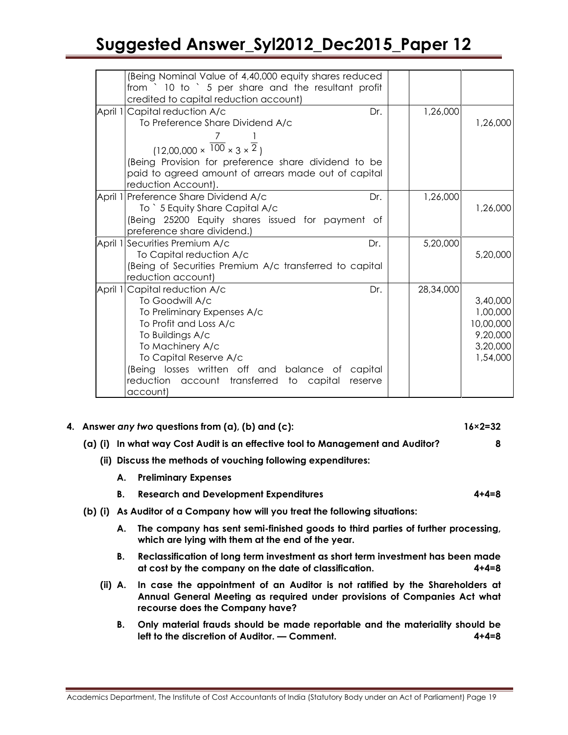| Being Nominal Value of 4,40,000 equity shares reduced<br>from ` 10 to ` 5 per share and the resultant profit |           |                      |
|--------------------------------------------------------------------------------------------------------------|-----------|----------------------|
| credited to capital reduction account)                                                                       |           |                      |
| April 1 Capital reduction A/c<br>Dr.                                                                         | 1,26,000  |                      |
| To Preference Share Dividend A/c                                                                             |           | 1,26,000             |
|                                                                                                              |           |                      |
| $(12,00,000 \times \overline{100} \times 3 \times \overline{2})$                                             |           |                      |
| (Being Provision for preference share dividend to be                                                         |           |                      |
| paid to agreed amount of arrears made out of capital                                                         |           |                      |
| reduction Account).                                                                                          |           |                      |
| April 1 Preference Share Dividend A/c<br>Dr.                                                                 | 1,26,000  |                      |
| To ` 5 Equity Share Capital A/c                                                                              |           | 1,26,000             |
| (Being 25200 Equity shares issued for payment of                                                             |           |                      |
| preference share dividend.)                                                                                  |           |                      |
| April 1 Securities Premium A/c<br>Dr.                                                                        | 5,20,000  |                      |
| To Capital reduction A/c                                                                                     |           | 5,20,000             |
| (Being of Securities Premium A/c transferred to capital                                                      |           |                      |
| reduction account)                                                                                           |           |                      |
| April 1 Capital reduction A/c<br>Dr.                                                                         | 28,34,000 |                      |
| To Goodwill A/c                                                                                              |           | 3,40,000<br>1,00,000 |
| To Preliminary Expenses A/c<br>To Profit and Loss A/c                                                        |           | 10,00,000            |
| To Buildings A/c                                                                                             |           | 9,20,000             |
| To Machinery A/c                                                                                             |           | 3,20,000             |
| To Capital Reserve A/c                                                                                       |           | 1,54,000             |
| (Being losses written off and balance of capital                                                             |           |                      |
| reduction account transferred to capital<br>reserve                                                          |           |                      |
| account)                                                                                                     |           |                      |

| 4. Answer any two questions from $(a)$ , $(b)$ and $(c)$ : | $16 \times 2 = 32$ |
|------------------------------------------------------------|--------------------|
|                                                            |                    |

- (a) (i) In what way Cost Audit is an effective tool to Management and Auditor? 8
	- (ii) Discuss the methods of vouching following expenditures:
		- A. Preliminary Expenses
		- B. Research and Development Expenditures 4+4=8
- (b) (i) As Auditor of a Company how will you treat the following situations:
	- A. The company has sent semi-finished goods to third parties of further processing, which are lying with them at the end of the year.
	- B. Reclassification of long term investment as short term investment has been made at cost by the company on the date of classification. 4+4=8
	- (ii) A. In case the appointment of an Auditor is not ratified by the Shareholders at Annual General Meeting as required under provisions of Companies Act what recourse does the Company have?
		- B. Only material frauds should be made reportable and the materiality should be left to the discretion of Auditor. — Comment. 4+4=8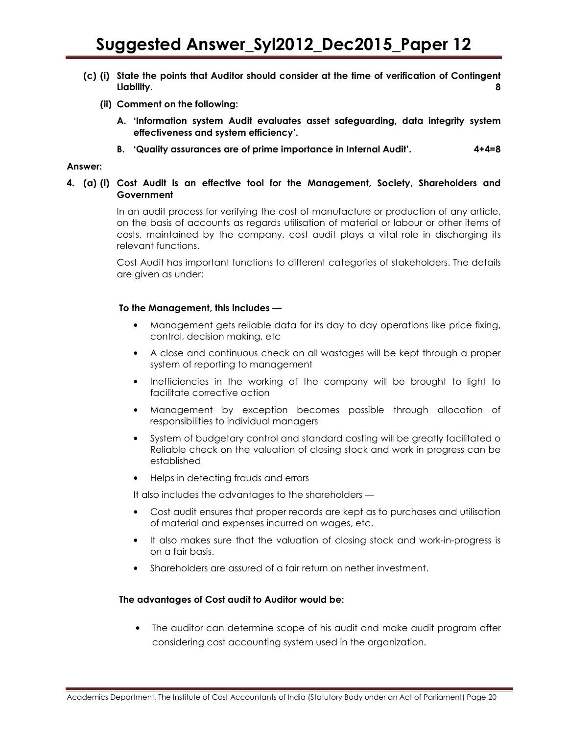- (c) (i) State the points that Auditor should consider at the time of verification of Contingent Liability. 8
	- (ii) Comment on the following:
		- A. 'Information system Audit evaluates asset safeguarding, data integrity system effectiveness and system efficiency'.
		- B. 'Quality assurances are of prime importance in Internal Audit'. 4+4=8

#### Answer:

4. (a) (i) Cost Audit is an effective tool for the Management, Society, Shareholders and Government

> In an audit process for verifying the cost of manufacture or production of any article, on the basis of accounts as regards utilisation of material or labour or other items of costs, maintained by the company, cost audit plays a vital role in discharging its relevant functions.

> Cost Audit has important functions to different categories of stakeholders. The details are given as under:

#### To the Management, this includes **—**

- Management gets reliable data for its day to day operations like price fixing, control, decision making, etc
- A close and continuous check on all wastages will be kept through a proper system of reporting to management
- Inefficiencies in the working of the company will be brought to light to facilitate corrective action
- Management by exception becomes possible through allocation of responsibilities to individual managers
- System of budgetary control and standard costing will be greatly facilitated o Reliable check on the valuation of closing stock and work in progress can be established
- Helps in detecting frauds and errors

It also includes the advantages to the shareholders —

- Cost audit ensures that proper records are kept as to purchases and utilisation of material and expenses incurred on wages, etc.
- It also makes sure that the valuation of closing stock and work-in-progress is on a fair basis.
- Shareholders are assured of a fair return on nether investment.

#### The advantages of Cost audit to Auditor would be:

• The auditor can determine scope of his audit and make audit program after considering cost accounting system used in the organization.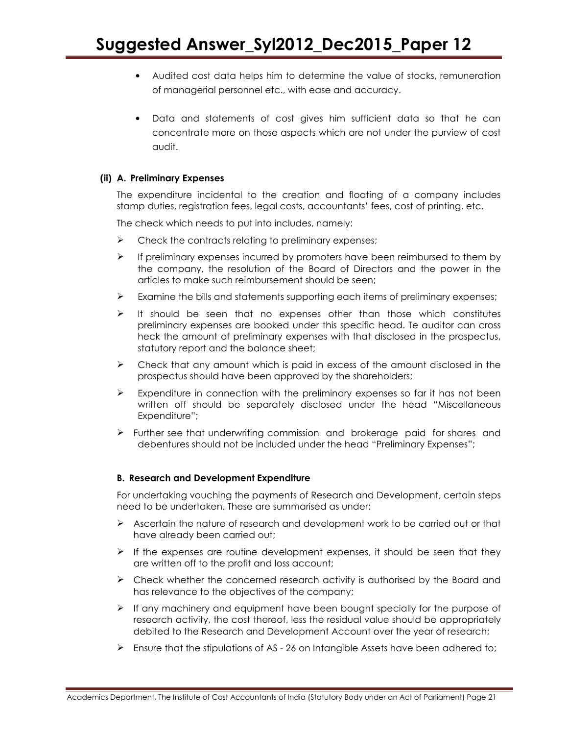- Audited cost data helps him to determine the value of stocks, remuneration of managerial personnel etc., with ease and accuracy.
- Data and statements of cost gives him sufficient data so that he can concentrate more on those aspects which are not under the purview of cost audit.

### (ii) A. Preliminary Expenses

The expenditure incidental to the creation and floating of a company includes stamp duties, registration fees, legal costs, accountants' fees, cost of printing, etc.

The check which needs to put into includes, namely:

- $\triangleright$  Check the contracts relating to preliminary expenses;
- $\triangleright$  If preliminary expenses incurred by promoters have been reimbursed to them by the company, the resolution of the Board of Directors and the power in the articles to make such reimbursement should be seen;
- Examine the bills and statements supporting each items of preliminary expenses;
- $\triangleright$  It should be seen that no expenses other than those which constitutes preliminary expenses are booked under this specific head. Te auditor can cross heck the amount of preliminary expenses with that disclosed in the prospectus, statutory report and the balance sheet;
- $\triangleright$  Check that any amount which is paid in excess of the amount disclosed in the prospectus should have been approved by the shareholders;
- $\triangleright$  Expenditure in connection with the preliminary expenses so far it has not been written off should be separately disclosed under the head "Miscellaneous Expenditure";
- $\triangleright$  Further see that underwriting commission and brokerage paid for shares and debentures should not be included under the head "Preliminary Expenses";

### B. Research and Development Expenditure

For undertaking vouching the payments of Research and Development, certain steps need to be undertaken. These are summarised as under:

- $\triangleright$  Ascertain the nature of research and development work to be carried out or that have already been carried out;
- $\triangleright$  If the expenses are routine development expenses, it should be seen that they are written off to the profit and loss account;
- $\triangleright$  Check whether the concerned research activity is authorised by the Board and has relevance to the objectives of the company;
- $\triangleright$  If any machinery and equipment have been bought specially for the purpose of research activity, the cost thereof, less the residual value should be appropriately debited to the Research and Development Account over the year of research;
- Ensure that the stipulations of AS 26 on Intangible Assets have been adhered to;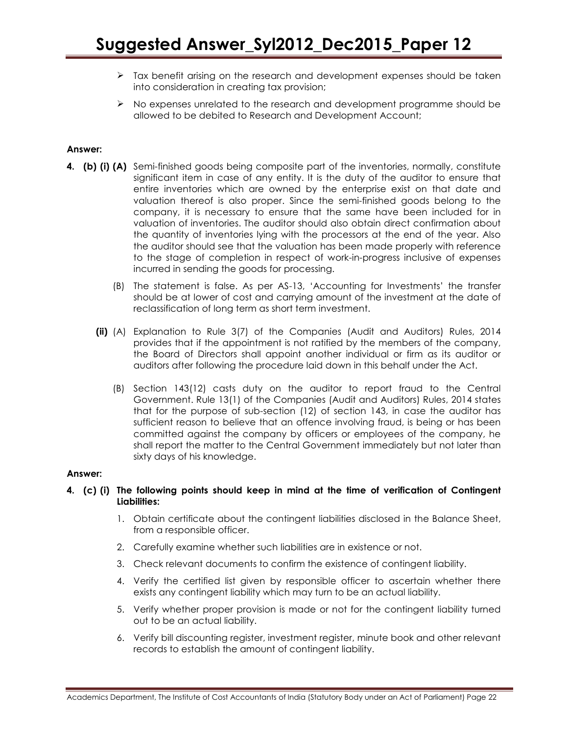- $\triangleright$  Tax benefit arising on the research and development expenses should be taken into consideration in creating tax provision;
- $\triangleright$  No expenses unrelated to the research and development programme should be allowed to be debited to Research and Development Account;

### Answer:

- 4. (b) (i) (A) Semi-finished goods being composite part of the inventories, normally, constitute significant item in case of any entity. It is the duty of the auditor to ensure that entire inventories which are owned by the enterprise exist on that date and valuation thereof is also proper. Since the semi-finished goods belong to the company, it is necessary to ensure that the same have been included for in valuation of inventories. The auditor should also obtain direct confirmation about the quantity of inventories lying with the processors at the end of the year. Also the auditor should see that the valuation has been made properly with reference to the stage of completion in respect of work-in-progress inclusive of expenses incurred in sending the goods for processing.
	- (B) The statement is false. As per AS-13, 'Accounting for Investments' the transfer should be at lower of cost and carrying amount of the investment at the date of reclassification of long term as short term investment.
	- (ii) (A) Explanation to Rule 3(7) of the Companies (Audit and Auditors) Rules, 2014 provides that if the appointment is not ratified by the members of the company, the Board of Directors shall appoint another individual or firm as its auditor or auditors after following the procedure laid down in this behalf under the Act.
		- (B) Section 143(12) casts duty on the auditor to report fraud to the Central Government. Rule 13(1) of the Companies (Audit and Auditors) Rules, 2014 states that for the purpose of sub-section (12) of section 143, in case the auditor has sufficient reason to believe that an offence involving fraud, is being or has been committed against the company by officers or employees of the company, he shall report the matter to the Central Government immediately but not later than sixty days of his knowledge.

### Answer:

### 4. (c) (i) The following points should keep in mind at the time of verification of Contingent Liabilities:

- 1. Obtain certificate about the contingent liabilities disclosed in the Balance Sheet, from a responsible officer.
- 2. Carefully examine whether such liabilities are in existence or not.
- 3. Check relevant documents to confirm the existence of contingent liability.
- 4. Verify the certified list given by responsible officer to ascertain whether there exists any contingent liability which may turn to be an actual liability.
- 5. Verify whether proper provision is made or not for the contingent liability turned out to be an actual liability.
- 6. Verify bill discounting register, investment register, minute book and other relevant records to establish the amount of contingent liability.